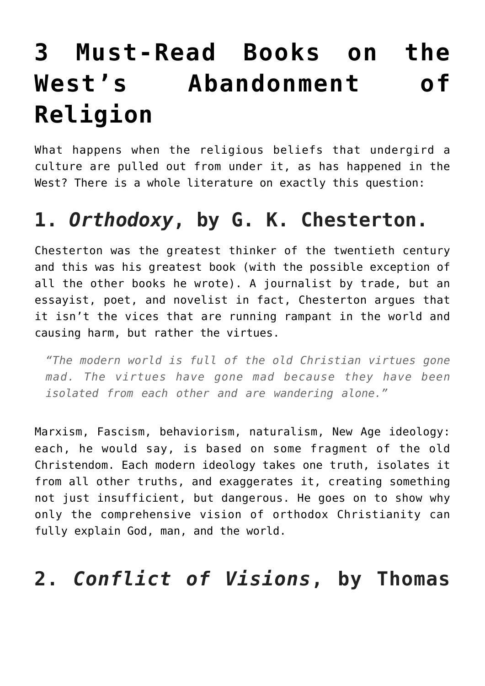# **[3 Must-Read Books on the](https://intellectualtakeout.org/2017/01/3-must-read-books-on-the-wests-abandonment-of-religion/) [West's Abandonment of](https://intellectualtakeout.org/2017/01/3-must-read-books-on-the-wests-abandonment-of-religion/) [Religion](https://intellectualtakeout.org/2017/01/3-must-read-books-on-the-wests-abandonment-of-religion/)**

What happens when the religious beliefs that undergird a culture are pulled out from under it, as has happened in the West? There is a whole literature on exactly this question:

## **1.** *Orthodoxy***, by G. K. Chesterton.**

Chesterton was the greatest thinker of the twentieth century and this was his greatest book (with the possible exception of all the other books he wrote). A journalist by trade, but an essayist, poet, and novelist in fact, Chesterton argues that it isn't the vices that are running rampant in the world and causing harm, but rather the virtues.

*"The modern world is full of the old Christian virtues gone mad. The virtues have gone mad because they have been isolated from each other and are wandering alone."*

Marxism, Fascism, behaviorism, naturalism, New Age ideology: each, he would say, is based on some fragment of the old Christendom. Each modern ideology takes one truth, isolates it from all other truths, and exaggerates it, creating something not just insufficient, but dangerous. He goes on to show why only the comprehensive vision of orthodox Christianity can fully explain God, man, and the world.

### **2.** *Conflict of Visions***, by Thomas**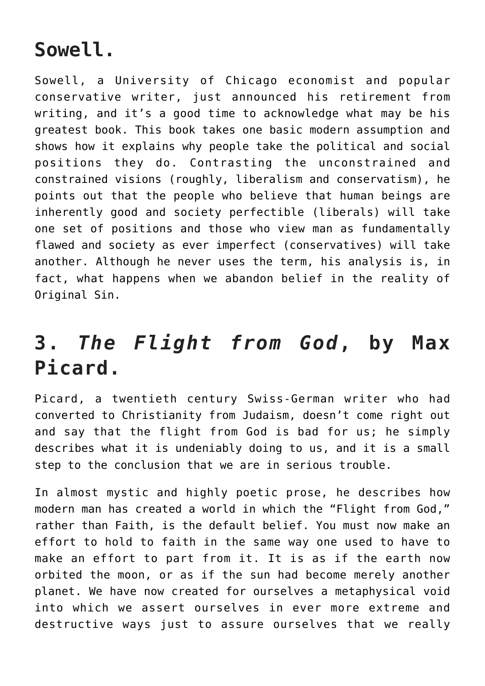#### **Sowell.**

Sowell, a University of Chicago economist and popular conservative writer, just announced his retirement from writing, and it's a good time to acknowledge what may be his greatest book. This book takes one basic modern assumption and shows how it explains why people take the political and social positions they do. Contrasting the unconstrained and constrained visions (roughly, liberalism and conservatism), he points out that the people who believe that human beings are inherently good and society perfectible (liberals) will take one set of positions and those who view man as fundamentally flawed and society as ever imperfect (conservatives) will take another. Although he never uses the term, his analysis is, in fact, what happens when we abandon belief in the reality of Original Sin.

## **3.** *The Flight from God***, by Max Picard.**

Picard, a twentieth century Swiss-German writer who had converted to Christianity from Judaism, doesn't come right out and say that the flight from God is bad for us; he simply describes what it is undeniably doing to us, and it is a small step to the conclusion that we are in serious trouble.

In almost mystic and highly poetic prose, he describes how modern man has created a world in which the "Flight from God," rather than Faith, is the default belief. You must now make an effort to hold to faith in the same way one used to have to make an effort to part from it. It is as if the earth now orbited the moon, or as if the sun had become merely another planet. We have now created for ourselves a metaphysical void into which we assert ourselves in ever more extreme and destructive ways just to assure ourselves that we really